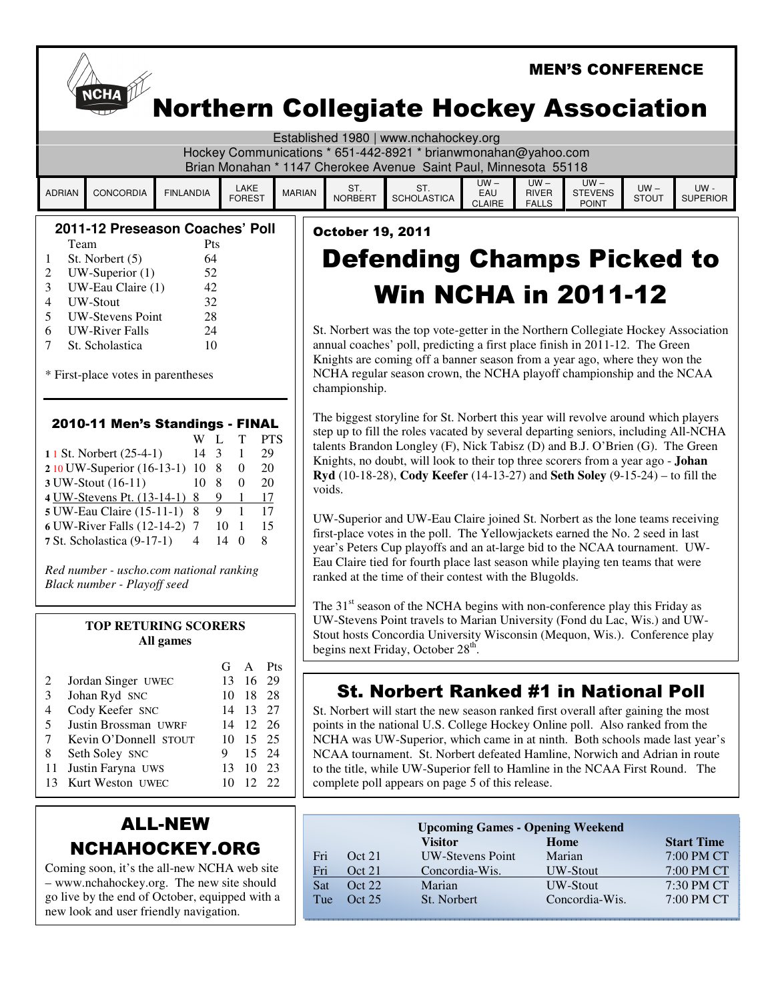|                                                                                                                                                                                                                                                                                                                                                                                                                                                                                                                                                 | <b>MEN'S CONFERENCE</b>                                                                                                                                                     |                  |                                                                                                                                            |                                                                                                                                                                                                                                                                                                                                                                                                                       |                                                                                                                                                                                                                                                                                                                                                                                                                                                                                                                                                                                                                                                                                                                                                                                                                                                    |                           |                                |                                        |                                                           |                        |                                 |
|-------------------------------------------------------------------------------------------------------------------------------------------------------------------------------------------------------------------------------------------------------------------------------------------------------------------------------------------------------------------------------------------------------------------------------------------------------------------------------------------------------------------------------------------------|-----------------------------------------------------------------------------------------------------------------------------------------------------------------------------|------------------|--------------------------------------------------------------------------------------------------------------------------------------------|-----------------------------------------------------------------------------------------------------------------------------------------------------------------------------------------------------------------------------------------------------------------------------------------------------------------------------------------------------------------------------------------------------------------------|----------------------------------------------------------------------------------------------------------------------------------------------------------------------------------------------------------------------------------------------------------------------------------------------------------------------------------------------------------------------------------------------------------------------------------------------------------------------------------------------------------------------------------------------------------------------------------------------------------------------------------------------------------------------------------------------------------------------------------------------------------------------------------------------------------------------------------------------------|---------------------------|--------------------------------|----------------------------------------|-----------------------------------------------------------|------------------------|---------------------------------|
|                                                                                                                                                                                                                                                                                                                                                                                                                                                                                                                                                 | <b>NCHA</b><br><b>Northern Collegiate Hockey Association</b>                                                                                                                |                  |                                                                                                                                            |                                                                                                                                                                                                                                                                                                                                                                                                                       |                                                                                                                                                                                                                                                                                                                                                                                                                                                                                                                                                                                                                                                                                                                                                                                                                                                    |                           |                                |                                        |                                                           |                        |                                 |
|                                                                                                                                                                                                                                                                                                                                                                                                                                                                                                                                                 | Established 1980   www.nchahockey.org<br>Hockey Communications * 651-442-8921 * brianwmonahan@yahoo.com<br>Brian Monahan * 1147 Cherokee Avenue Saint Paul, Minnesota 55118 |                  |                                                                                                                                            |                                                                                                                                                                                                                                                                                                                                                                                                                       |                                                                                                                                                                                                                                                                                                                                                                                                                                                                                                                                                                                                                                                                                                                                                                                                                                                    |                           |                                |                                        |                                                           |                        |                                 |
| <b>ADRIAN</b>                                                                                                                                                                                                                                                                                                                                                                                                                                                                                                                                   | <b>CONCORDIA</b>                                                                                                                                                            | <b>FINLANDIA</b> | LAKE<br><b>FOREST</b>                                                                                                                      | <b>MARIAN</b>                                                                                                                                                                                                                                                                                                                                                                                                         | ST.<br><b>NORBERT</b>                                                                                                                                                                                                                                                                                                                                                                                                                                                                                                                                                                                                                                                                                                                                                                                                                              | ST.<br><b>SCHOLASTICA</b> | $UW -$<br>EAU<br><b>CLAIRE</b> | $UW -$<br><b>RIVER</b><br><b>FALLS</b> | $UW -$<br><b>STEVENS</b><br><b>POINT</b>                  | $UW -$<br><b>STOUT</b> | UW-<br><b>SUPERIOR</b>          |
| 2011-12 Preseason Coaches' Poll<br>Team<br><b>Pts</b><br>St. Norbert (5)<br>64<br>1<br>$UW$ -Superior $(1)$<br>52<br>2<br>3<br>UW-Eau Claire (1)<br>42<br>4<br><b>UW-Stout</b><br>32<br><b>UW-Stevens Point</b><br>28<br>5<br><b>UW-River Falls</b><br>24<br>6<br>10<br>St. Scholastica<br>7<br>* First-place votes in parentheses                                                                                                                                                                                                              |                                                                                                                                                                             |                  |                                                                                                                                            | <b>October 19, 2011</b><br><b>Defending Champs Picked to</b><br><b>Win NCHA in 2011-12</b><br>St. Norbert was the top vote-getter in the Northern Collegiate Hockey Association<br>annual coaches' poll, predicting a first place finish in 2011-12. The Green<br>Knights are coming off a banner season from a year ago, where they won the<br>NCHA regular season crown, the NCHA playoff championship and the NCAA |                                                                                                                                                                                                                                                                                                                                                                                                                                                                                                                                                                                                                                                                                                                                                                                                                                                    |                           |                                |                                        |                                                           |                        |                                 |
| 2010-11 Men's Standings - FINAL<br><b>PTS</b><br>W L<br>T<br>11 St. Norbert (25-4-1)<br>$14 \quad 3$<br>29<br>1<br>2 10 UW-Superior (16-13-1) 10 8<br>20<br>$\boldsymbol{0}$<br>10 8<br>20<br>3 UW-Stout (16-11)<br>$\Omega$<br>4 UW-Stevens Pt. (13-14-1) 8<br>9<br>17<br>-1<br>$\overline{9}$<br>17<br>$\overline{1}$<br>5 UW-Eau Claire (15-11-1) 8<br>6 UW-River Falls (12-14-2) 7<br>10 <sub>1</sub><br>15<br>$14\quad0$<br>8<br>7 St. Scholastica (9-17-1)<br>4<br>Red number - uscho.com national ranking<br>Black number - Playoff seed |                                                                                                                                                                             |                  |                                                                                                                                            |                                                                                                                                                                                                                                                                                                                                                                                                                       | championship.<br>The biggest storyline for St. Norbert this year will revolve around which players<br>step up to fill the roles vacated by several departing seniors, including All-NCHA<br>talents Brandon Longley (F), Nick Tabisz (D) and B.J. O'Brien (G). The Green<br>Knights, no doubt, will look to their top three scorers from a year ago - Johan<br>Ryd (10-18-28), Cody Keefer (14-13-27) and Seth Soley (9-15-24) – to fill the<br>voids.<br>UW-Superior and UW-Eau Claire joined St. Norbert as the lone teams receiving<br>first-place votes in the poll. The Yellowjackets earned the No. 2 seed in last<br>year's Peters Cup playoffs and an at-large bid to the NCAA tournament. UW-<br>Eau Claire tied for fourth place last season while playing ten teams that were<br>ranked at the time of their contest with the Blugolds. |                           |                                |                                        |                                                           |                        |                                 |
| <b>TOP RETURING SCORERS</b><br>All games                                                                                                                                                                                                                                                                                                                                                                                                                                                                                                        |                                                                                                                                                                             |                  |                                                                                                                                            | The 31 <sup>st</sup> season of the NCHA begins with non-conference play this Friday as<br>UW-Stevens Point travels to Marian University (Fond du Lac, Wis.) and UW-<br>Stout hosts Concordia University Wisconsin (Mequon, Wis.). Conference play<br>begins next Friday, October 28 <sup>th</sup> .                                                                                                                   |                                                                                                                                                                                                                                                                                                                                                                                                                                                                                                                                                                                                                                                                                                                                                                                                                                                    |                           |                                |                                        |                                                           |                        |                                 |
| 2<br>3<br>4<br>5<br>7<br>8<br>11<br>13                                                                                                                                                                                                                                                                                                                                                                                                                                                                                                          | Jordan Singer UWEC<br>Johan Ryd SNC<br>Cody Keefer SNC<br>Justin Brossman UWRF<br>Kevin O'Donnell STOUT<br>Seth Soley SNC<br>Justin Faryna UWS<br>Kurt Weston UWEC          |                  | $\mathbf{A}$<br>Pts<br>G<br>-16<br>13<br>10 18<br>28<br>14 13<br>27<br>14 12<br>26<br>10 15<br>25<br>15<br>9<br>10<br>23<br>13<br>10 12 22 | 29<br>24                                                                                                                                                                                                                                                                                                                                                                                                              | <b>St. Norbert Ranked #1 in National Poll</b><br>St. Norbert will start the new season ranked first overall after gaining the most<br>points in the national U.S. College Hockey Online poll. Also ranked from the<br>NCHA was UW-Superior, which came in at ninth. Both schools made last year's<br>NCAA tournament. St. Norbert defeated Hamline, Norwich and Adrian in route<br>to the title, while UW-Superior fell to Hamline in the NCAA First Round. The<br>complete poll appears on page 5 of this release.                                                                                                                                                                                                                                                                                                                                |                           |                                |                                        |                                                           |                        |                                 |
|                                                                                                                                                                                                                                                                                                                                                                                                                                                                                                                                                 | NCHAHOCKEY.ORG                                                                                                                                                              | <b>ALL-NEW</b>   |                                                                                                                                            |                                                                                                                                                                                                                                                                                                                                                                                                                       | Oct 21<br>Fri                                                                                                                                                                                                                                                                                                                                                                                                                                                                                                                                                                                                                                                                                                                                                                                                                                      | <b>Visitor</b>            | <b>UW-Stevens Point</b>        |                                        | <b>Upcoming Games - Opening Weekend</b><br>Home<br>Marian |                        | <b>Start Time</b><br>7:00 PM CT |

Fri Oct 21 Concordia-Wis. UW-Stout 7:00 PM CT<br>Sat Oct 22 Marian UW-Stout 7:30 PM CT

Tue Oct 25 St. Norbert Concordia-Wis. 7:00 PM CT

7:30 PM CT

Coming soon, it's the all-new NCHA web site – www.nchahockey.org. The new site should go live by the end of October, equipped with a new look and user friendly navigation.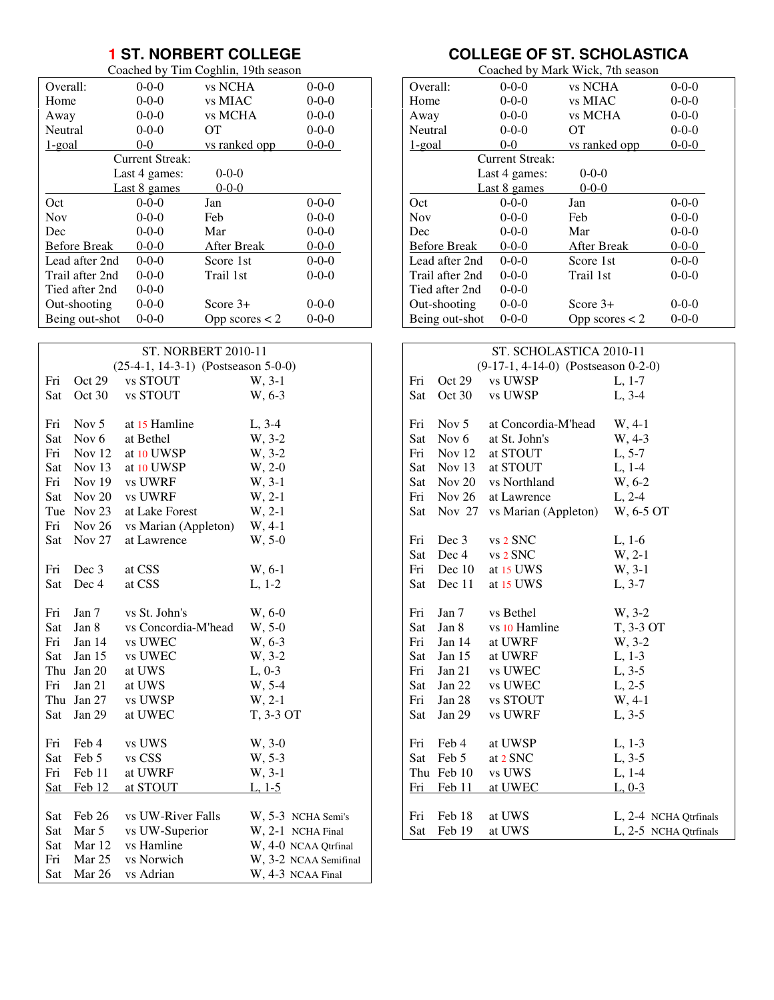# **1 ST. NORBERT COLLEGE**

|          |                      | Coached by Tim Coghlin, 19th season |                      |
|----------|----------------------|-------------------------------------|----------------------|
| Overall: | $0 - 0 - 0$          | vs NCHA                             | $0 - 0 - 0$          |
| Home     | $0 - 0 - 0$          | vs MIAC                             | $0 - 0 - 0$          |
| Away     | $0-0-0$              | vs MCHA                             | $0 - 0 - 0$          |
| .        | $\sim$ $\sim$ $\sim$ |                                     | $\sim$ $\sim$ $\sim$ |

| Neutral             | $0 - 0 - 0$     | OТ               | $0 - 0 - 0$ |
|---------------------|-----------------|------------------|-------------|
| 1-goal              | $0-0$           | vs ranked opp    | $0 - 0 - 0$ |
|                     | Current Streak: |                  |             |
|                     | Last 4 games:   | $0 - 0 - 0$      |             |
|                     | Last 8 games    | $0 - 0 - 0$      |             |
| Oct                 | $0-0-0$         | Jan              | $0-0-0$     |
| <b>Nov</b>          | $0-0-0$         | Feb              | $0-0-0$     |
| Dec                 | $0 - 0 - 0$     | Mar              | $0 - 0 - 0$ |
| <b>Before Break</b> | $0 - 0 - 0$     | After Break      | $0 - 0 - 0$ |
| Lead after 2nd      | $0 - 0 - 0$     | Score 1st        | $0 - 0 - 0$ |
| Trail after 2nd     | $0 - 0 - 0$     | Trail 1st        | $0 - 0 - 0$ |
| Tied after 2nd      | $0-0-0$         |                  |             |
| Out-shooting        | $0 - 0 - 0$     | Score $3+$       | $0 - 0 - 0$ |
| Being out-shot      | $0 - 0 - 0$     | Opp scores $<$ 2 | $0 - 0 - 0$ |
|                     |                 |                  |             |

| $(25-4-1, 14-3-1)$ (Postseason 5-0-0)<br>W, 3-1<br>Fri<br>Oct 29<br>vs STOUT<br>vs STOUT<br>W, 6-3<br>Sat<br>Oct 30 |  |
|---------------------------------------------------------------------------------------------------------------------|--|
|                                                                                                                     |  |
|                                                                                                                     |  |
|                                                                                                                     |  |
|                                                                                                                     |  |
| Nov $5$<br>at 15 Hamline<br>$L, 3-4$<br>Fri<br>W, 3-2<br>at Bethel                                                  |  |
| Sat Nov 6                                                                                                           |  |
| Fri Nov 12<br>W, 3-2<br>at 10 UWSP                                                                                  |  |
| Sat Nov 13<br>$W, 2-0$<br>at 10 UWSP                                                                                |  |
| Fri Nov 19<br>W, 3-1<br>vs UWRF                                                                                     |  |
| Sat Nov 20 vs UWRF<br>$W, 2-1$                                                                                      |  |
| Tue Nov 23<br>$W, 2-1$<br>at Lake Forest                                                                            |  |
| Fri Nov 26 vs Marian (Appleton)<br>$W, 4-1$                                                                         |  |
| Nov 27<br>$W, 5-0$<br>Sat<br>at Lawrence                                                                            |  |
|                                                                                                                     |  |
| Dec 3<br>at CSS<br>W, 6-1<br>Fri                                                                                    |  |
| Dec 4<br>Sat<br>at CSS<br>$L, 1-2$                                                                                  |  |
|                                                                                                                     |  |
| Jan 7<br>vs St. John's<br>Fri<br>$W, 6-0$                                                                           |  |
| Jan 8<br>vs Concordia-M'head<br>$W, 5-0$<br>Sat                                                                     |  |
| Fri Jan 14<br>W, 6-3<br>vs UWEC                                                                                     |  |
| Sat Jan 15<br>W, 3-2<br>vs UWEC                                                                                     |  |
| Thu Jan 20<br>$L, 0-3$<br>at UWS                                                                                    |  |
| W, 5-4<br>Fri<br>Jan 21<br>at UWS                                                                                   |  |
| $W, 2-1$<br>Thu Jan 27<br>vs UWSP                                                                                   |  |
| T, 3-3 OT<br>Sat<br>Jan $29$<br>at UWEC                                                                             |  |
|                                                                                                                     |  |
| Feb 4<br>$W, 3-0$<br>Fri<br>vs UWS                                                                                  |  |
| Feb 5<br>vs CSS<br>W, 5-3<br>Sat                                                                                    |  |
| at UWRF<br>W, 3-1<br>Fri Feb 11                                                                                     |  |
| Sat Feb 12<br>at STOUT<br>$L, 1-5$                                                                                  |  |
|                                                                                                                     |  |
| Feb 26<br>vs UW-River Falls<br>Sat<br>W, 5-3 NCHA Semi's                                                            |  |
| Mar 5<br>Sat<br>vs UW-Superior<br>W, 2-1 NCHA Final                                                                 |  |
| Sat Mar 12<br>vs Hamline<br>W, 4-0 NCAA Qtrfinal                                                                    |  |
| Fri<br>Mar 25<br>vs Norwich<br>W, 3-2 NCAA Semifinal                                                                |  |
| Mar 26<br>Sat<br>vs Adrian<br>W, 4-3 NCAA Final                                                                     |  |

# **COLLEGE OF ST. SCHOLASTICA**

| Coached by Mark Wick, 7th season |                 |                  |             |  |
|----------------------------------|-----------------|------------------|-------------|--|
| Overall:                         | $0 - 0 - 0$     | vs NCHA          | $0 - 0 - 0$ |  |
| Home                             | $0 - 0 - 0$     | vs MIAC          | $0 - 0 - 0$ |  |
| Away                             | $0 - 0 - 0$     | vs MCHA          | $0 - 0 - 0$ |  |
| Neutral                          | $0 - 0 - 0$     | OТ               | $0 - 0 - 0$ |  |
| 1-goal                           | $0 - 0$         | vs ranked opp    | $0 - 0 - 0$ |  |
|                                  | Current Streak: |                  |             |  |
|                                  | Last 4 games:   | $0 - 0 - 0$      |             |  |
|                                  | Last 8 games    | $0 - 0 - 0$      |             |  |
| Oct                              | $0 - 0 - 0$     | Jan              | $0 - 0 - 0$ |  |
| <b>Nov</b>                       | $0-0-0$         | Feb              | $0 - 0 - 0$ |  |
| Dec                              | $0 - 0 - 0$     | Mar              | $0 - 0 - 0$ |  |
| <b>Before Break</b>              | $0 - 0 - 0$     | After Break      | $0 - 0 - 0$ |  |
| Lead after 2nd                   | $0 - 0 - 0$     | Score 1st        | $0 - 0 - 0$ |  |
| Trail after 2nd                  | $0 - 0 - 0$     | Trail 1st        | $0 - 0 - 0$ |  |
| Tied after 2nd                   | $0 - 0 - 0$     |                  |             |  |
| Out-shooting                     | $0 - 0 - 0$     | Score $3+$       | $0 - 0 - 0$ |  |
| Being out-shot                   | $0 - 0 - 0$     | Opp scores $<$ 2 | $0 - 0 - 0$ |  |

| ST. SCHOLASTICA 2010-11             |               |                        |                       |  |  |
|-------------------------------------|---------------|------------------------|-----------------------|--|--|
| (9-17-1, 4-14-0) (Postseason 0-2-0) |               |                        |                       |  |  |
| Fri                                 | Oct 29        | vs UWSP                | $L, 1-7$              |  |  |
| Sat                                 | Oct 30        | vs UWSP                | $L, 3-4$              |  |  |
|                                     |               |                        |                       |  |  |
| Fri                                 | Nov 5         | at Concordia-M'head    | $W, 4-1$              |  |  |
| Sat                                 | Nov 6         | at St. John's          | W, 4-3                |  |  |
| Fri                                 | Nov 12        | at STOUT               | $L, 5-7$              |  |  |
| Sat                                 |               | Nov 13 at STOUT        | $L, 1-4$              |  |  |
| Sat                                 |               | Nov 20 vs Northland    | W, 6-2                |  |  |
|                                     |               | Fri Nov 26 at Lawrence | $L, 2-4$              |  |  |
| Sat                                 | <b>Nov 27</b> | vs Marian (Appleton)   | W, 6-5 OT             |  |  |
|                                     |               |                        |                       |  |  |
| Fri                                 | Dec 3         | vs 2 SNC               | $L, 1-6$              |  |  |
|                                     | Sat Dec 4     | vs 2 SNC               | $W, 2-1$              |  |  |
| Fri                                 | Dec $10$      | at 15 UWS              | W, 3-1                |  |  |
| Sat                                 | Dec 11        | at 15 UWS              | $L, 3-7$              |  |  |
|                                     |               |                        |                       |  |  |
| Fri                                 | Jan 7         | vs Bethel              | W, 3-2                |  |  |
| Sat                                 | Jan 8         | vs 10 Hamline          | T, 3-3 OT             |  |  |
| Fri                                 | Jan $14$      | at UWRF                | W, 3-2                |  |  |
| Sat                                 | Jan 15        | at UWRF                | $L, 1-3$              |  |  |
| Fri                                 | <b>Jan 21</b> | vs UWEC                | $L, 3-5$              |  |  |
|                                     |               | Sat Jan 22 vs UWEC     | $L, 2-5$              |  |  |
|                                     |               | Fri Jan 28 vs STOUT    | W, 4-1                |  |  |
| Sat                                 | Jan 29        | vs UWRF                | $L, 3-5$              |  |  |
|                                     |               |                        |                       |  |  |
| Fri                                 | Feb 4         | at UWSP                | $L, 1-3$              |  |  |
| Sat                                 | Feb 5         | at 2 SNC               | $L, 3-5$              |  |  |
|                                     | Thu Feb 10    | vs UWS                 | $L, 1-4$              |  |  |
|                                     | Fri Feb 11    | at UWEC                | $L, 0-3$              |  |  |
|                                     |               |                        |                       |  |  |
| Fri                                 | Feb 18        | at UWS                 | L, 2-4 NCHA Qtrfinals |  |  |
| Sat                                 | Feb 19        | at UWS                 | L, 2-5 NCHA Qtrfinals |  |  |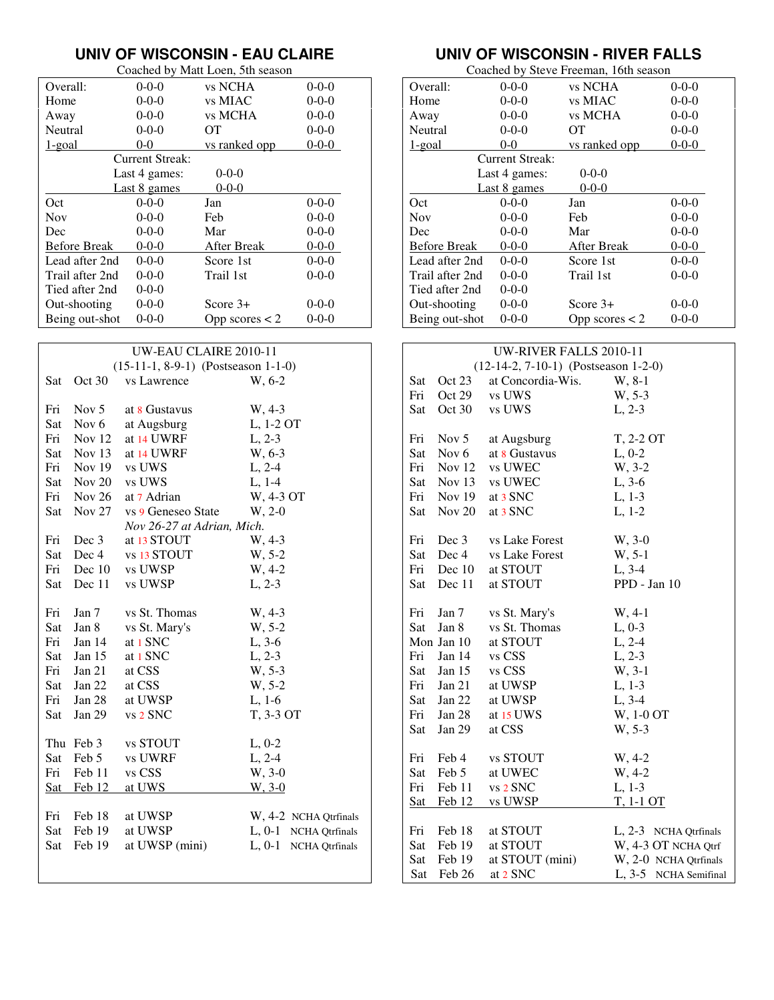### **UNIV OF WISCONSIN - EAU CLAIRE**

|                     | Coached by Matt Loen, 5th season |                  |             |  |  |
|---------------------|----------------------------------|------------------|-------------|--|--|
| Overall:            | $0 - 0 - 0$                      | vs NCHA          | $0 - 0 - 0$ |  |  |
| Home                | $0 - 0 - 0$                      | vs MIAC          | $0 - 0 - 0$ |  |  |
| Away                | $0 - 0 - 0$                      | vs MCHA          | $0 - 0 - 0$ |  |  |
| Neutral             | $0 - 0 - 0$                      | OТ               | $0 - 0 - 0$ |  |  |
| 1-goal              | $0 - 0$                          | vs ranked opp    | $0 - 0 - 0$ |  |  |
|                     | Current Streak:                  |                  |             |  |  |
|                     | Last 4 games:                    | $0 - 0 - 0$      |             |  |  |
|                     | Last 8 games                     | $0 - 0 - 0$      |             |  |  |
| Oct                 | $0 - 0 - 0$                      | Jan              | $0 - 0 - 0$ |  |  |
| <b>Nov</b>          | $0 - 0 - 0$                      | Feb              | $0 - 0 - 0$ |  |  |
| Dec                 | $0 - 0 - 0$                      | Mar              | $0 - 0 - 0$ |  |  |
| <b>Before Break</b> | $0 - 0 - 0$                      | After Break      | $0 - 0 - 0$ |  |  |
| Lead after 2nd      | $0 - 0 - 0$                      | Score 1st        | $0 - 0 - 0$ |  |  |
| Trail after 2nd     | $0 - 0 - 0$                      | Trail 1st        | $0 - 0 - 0$ |  |  |
| Tied after 2nd      | $0 - 0 - 0$                      |                  |             |  |  |
| Out-shooting        | $0 - 0 - 0$                      | Score $3+$       | $0 - 0 - 0$ |  |  |
| Being out-shot      | $0 - 0 - 0$                      | Opp scores $<$ 2 | $0 - 0 - 0$ |  |  |

| UW-EAU CLAIRE 2010-11 |                                       |                            |                                   |  |  |  |
|-----------------------|---------------------------------------|----------------------------|-----------------------------------|--|--|--|
|                       | $(15-11-1, 8-9-1)$ (Postseason 1-1-0) |                            |                                   |  |  |  |
| Sat                   | Oct 30                                | vs Lawrence                | W, 6-2                            |  |  |  |
|                       |                                       |                            |                                   |  |  |  |
| Fri                   | Nov $5$                               | at 8 Gustavus              | W, 4-3                            |  |  |  |
|                       | Sat Nov 6                             | at Augsburg                | L, 1-2 OT                         |  |  |  |
|                       | Fri Nov 12                            | at 14 UWRF                 | $L, 2-3$                          |  |  |  |
|                       | Sat Nov 13                            | at 14 UWRF                 | W, 6-3                            |  |  |  |
|                       | Fri Nov 19                            | vs UWS                     | $L, 2-4$                          |  |  |  |
|                       | Sat Nov 20 vs UWS                     |                            | $L, 1-4$                          |  |  |  |
|                       | Fri Nov 26                            | at 7 Adrian                | W, 4-3 OT                         |  |  |  |
| Sat                   | Nov $27$                              | vs 9 Geneseo State         | $W, 2-0$                          |  |  |  |
|                       |                                       | Nov 26-27 at Adrian, Mich. |                                   |  |  |  |
| Fri                   | Dec 3                                 | at 13 STOUT                | W, 4-3                            |  |  |  |
| Sat                   | Dec 4                                 | vs 13 STOUT                | W, 5-2                            |  |  |  |
|                       | Fri Dec 10                            | vs UWSP                    | W, 4-2                            |  |  |  |
| Sat                   | Dec 11                                | vs UWSP                    | $L, 2-3$                          |  |  |  |
|                       |                                       |                            |                                   |  |  |  |
| Fri                   | Jan 7                                 | vs St. Thomas              | $W, 4-3$                          |  |  |  |
| Sat                   | Jan 8                                 | vs St. Mary's              | W, 5-2                            |  |  |  |
| Fri                   | Jan 14                                | at 1 SNC                   | $L, 3-6$                          |  |  |  |
| Sat                   | Jan $15$                              | at 1 SNC                   | $L, 2-3$                          |  |  |  |
| Fri                   | Jan 21                                | at CSS                     | $W, 5-3$                          |  |  |  |
| Sat                   | Jan 22                                | at CSS                     | W, 5-2                            |  |  |  |
| Fri                   | Jan 28                                | at UWSP                    | $L, 1-6$                          |  |  |  |
| Sat                   | Jan 29                                | vs 2 SNC                   | T, 3-3 OT                         |  |  |  |
|                       |                                       |                            |                                   |  |  |  |
|                       | Thu Feb 3                             | vs STOUT                   | $L, 0-2$                          |  |  |  |
| Sat                   | Feb 5                                 | vs UWRF                    | $L, 2-4$                          |  |  |  |
| Fri                   | Feb 11                                | vs CSS                     | W, 3-0                            |  |  |  |
| Sat                   | Feb 12                                | at UWS                     | $W, 3-0$                          |  |  |  |
|                       |                                       |                            |                                   |  |  |  |
| Fri                   | Feb 18                                | at UWSP                    | W, 4-2 NCHA Qtrfinals             |  |  |  |
| Sat                   | Feb 19                                | at UWSP                    | L, 0-1 NCHA Qtrfinals             |  |  |  |
| Sat                   | Feb 19                                | at UWSP (mini)             | $L, 0-1$<br><b>NCHA</b> Qtrfinals |  |  |  |
|                       |                                       |                            |                                   |  |  |  |
|                       |                                       |                            |                                   |  |  |  |

# **UNIV OF WISCONSIN - RIVER FALLS**

| Coached by Steve Freeman, 16th season |                        |                  |             |  |
|---------------------------------------|------------------------|------------------|-------------|--|
| Overall:                              | $0 - 0 - 0$            | vs NCHA          | $0 - 0 - 0$ |  |
| Home                                  | $0 - 0 - 0$            | vs MIAC          | $0 - 0 - 0$ |  |
| Away                                  | $0 - 0 - 0$            | vs MCHA          | $0 - 0 - 0$ |  |
| Neutral                               | $0-0-0$                | OТ               | $0 - 0 - 0$ |  |
| 1-goal                                | $0 - 0$                | vs ranked opp    | $0 - 0 - 0$ |  |
|                                       | <b>Current Streak:</b> |                  |             |  |
|                                       | Last 4 games:          | $0 - 0 - 0$      |             |  |
|                                       | Last 8 games           | $0 - 0 - 0$      |             |  |
| Oct                                   | $0 - 0 - 0$            | Jan              | $0 - 0 - 0$ |  |
| <b>Nov</b>                            | $0-0-0$                | Feb              | $0 - 0 - 0$ |  |
| Dec                                   | $0 - 0 - 0$            | Mar              | $0 - 0 - 0$ |  |
| <b>Before Break</b>                   | $0 - 0 - 0$            | After Break      | $0 - 0 - 0$ |  |
| Lead after 2nd                        | $0 - 0 - 0$            | Score 1st        | $0 - 0 - 0$ |  |
| Trail after 2nd                       | $0 - 0 - 0$            | Trail 1st        | $0 - 0 - 0$ |  |
| Tied after 2nd                        | $0 - 0 - 0$            |                  |             |  |
| Out-shooting                          | $0 - 0 - 0$            | Score $3+$       | $0 - 0 - 0$ |  |
| Being out-shot                        | $0 - 0 - 0$            | Opp scores $<$ 2 | $0 - 0 - 0$ |  |

| <b>UW-RIVER FALLS 2010-11</b> |                                        |                   |                       |  |  |
|-------------------------------|----------------------------------------|-------------------|-----------------------|--|--|
|                               | $(12-14-2, 7-10-1)$ (Postseason 1-2-0) |                   |                       |  |  |
| Sat                           | Oct 23                                 | at Concordia-Wis. | W, 8-1                |  |  |
| Fri                           | Oct 29                                 | vs UWS            | W, 5-3                |  |  |
| Sat                           | Oct 30                                 | vs UWS            | $L, 2-3$              |  |  |
|                               |                                        |                   |                       |  |  |
| Fri                           | Nov $5$                                | at Augsburg       | T, 2-2 OT             |  |  |
| Sat                           | Nov $6$                                | at 8 Gustavus     | $L, 0-2$              |  |  |
| Fri                           | Nov $12$                               | vs UWEC           | W, 3-2                |  |  |
| Sat                           | Nov $13$                               | vs UWEC           | $L, 3-6$              |  |  |
| Fri                           | Nov 19 at $3$ SNC                      |                   | $L, 1-3$              |  |  |
| Sat                           | Nov $20$                               | at 3 SNC          | $L, 1-2$              |  |  |
|                               |                                        |                   |                       |  |  |
| Fri                           | Dec 3                                  | vs Lake Forest    | W, 3-0                |  |  |
| Sat                           | Dec 4                                  | vs Lake Forest    | W, 5-1                |  |  |
| Fri                           | Dec $10$                               | at STOUT          | $L, 3-4$              |  |  |
| Sat                           | Dec 11                                 | at STOUT          | PPD - Jan 10          |  |  |
|                               |                                        |                   |                       |  |  |
| Fri                           | Jan 7                                  | vs St. Mary's     | $W, 4-1$              |  |  |
| Sat                           | Jan 8                                  | vs St. Thomas     | $L, 0-3$              |  |  |
|                               | Mon Jan 10                             | at STOUT          | $L, 2-4$              |  |  |
| Fri                           | Jan $14$                               | vs CSS            | $L, 2-3$              |  |  |
| Sat                           | Jan $15$                               | vs CSS            | W, 3-1                |  |  |
| Fri                           | Jan $21$                               | at UWSP           | $L, 1-3$              |  |  |
| Sat                           | Jan 22                                 | at UWSP           | $L, 3-4$              |  |  |
| Fri                           | Jan 28                                 | at 15 UWS         | W, 1-0 OT             |  |  |
| Sat                           | Jan 29                                 | at CSS            | W, 5-3                |  |  |
|                               |                                        |                   |                       |  |  |
| Fri                           | Feb 4                                  | vs STOUT          | W, 4-2                |  |  |
| Sat                           | Feb 5                                  | at UWEC           | W, 4-2                |  |  |
| Fri                           | Feb 11                                 | vs 2 SNC          | $L, 1-3$              |  |  |
| <b>Sat</b>                    | Feb 12                                 | vs UWSP           | <u>T, 1-1 OT</u>      |  |  |
|                               |                                        |                   |                       |  |  |
| Fri                           | Feb 18                                 | at STOUT          | L, 2-3 NCHA Qtrfinals |  |  |
| Sat                           | Feb 19                                 | at STOUT          | W, 4-3 OT NCHA Qtrf   |  |  |
| Sat                           | Feb 19                                 | at STOUT (mini)   | W, 2-0 NCHA Qtrfinals |  |  |
| Sat                           | Feb 26                                 | at 2 SNC          | L, 3-5 NCHA Semifinal |  |  |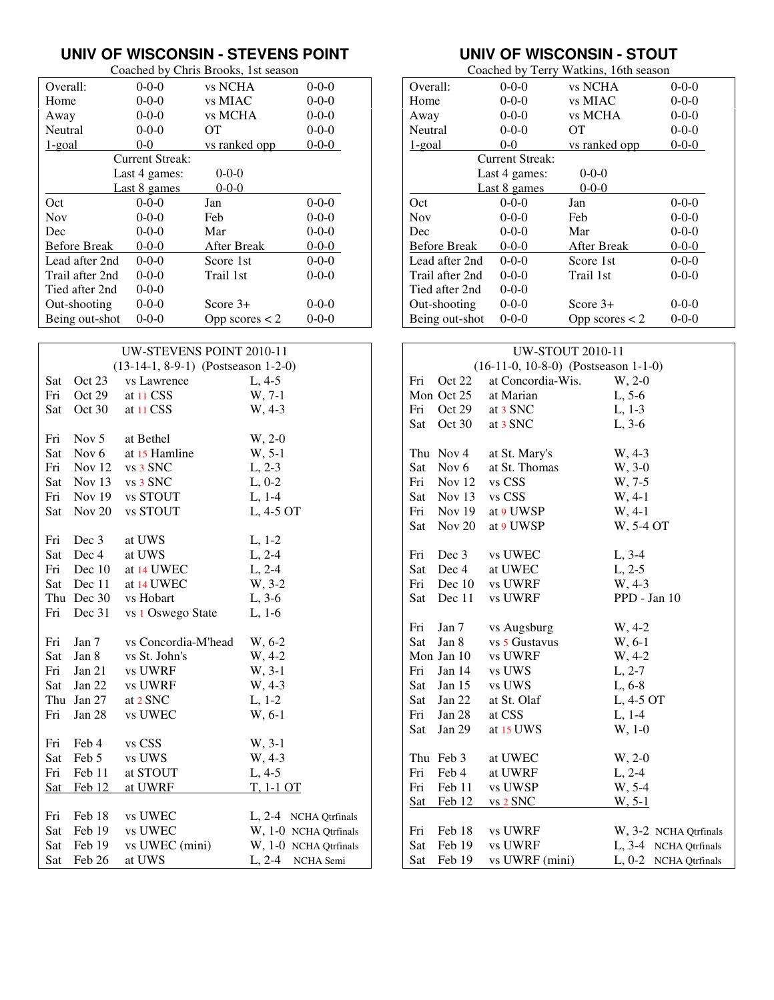#### **UNIV OF WISCONSIN - STEVENS POINT**

|                     | Coached by Chris Brooks, 1st season |                  |             |  |  |
|---------------------|-------------------------------------|------------------|-------------|--|--|
| Overall:            | $0 - 0 - 0$                         | vs NCHA          | $0 - 0 - 0$ |  |  |
| Home                | $0 - 0 - 0$                         | vs MIAC          | $0 - 0 - 0$ |  |  |
| Away                | $0 - 0 - 0$                         | vs MCHA          | $0 - 0 - 0$ |  |  |
| Neutral             | $0 - 0 - 0$                         | OТ               | $0 - 0 - 0$ |  |  |
| 1-goal              | $0 - 0$                             | vs ranked opp    | $0 - 0 - 0$ |  |  |
|                     | Current Streak:                     |                  |             |  |  |
|                     | Last 4 games:                       | $0 - 0 - 0$      |             |  |  |
|                     | Last 8 games                        | $0 - 0 - 0$      |             |  |  |
| Oct                 | $0 - 0 - 0$                         | Jan              | $0 - 0 - 0$ |  |  |
| <b>Nov</b>          | $0 - 0 - 0$                         | Feb              | $0 - 0 - 0$ |  |  |
| Dec                 | $0 - 0 - 0$                         | Mar              | $0 - 0 - 0$ |  |  |
| <b>Before Break</b> | $0 - 0 - 0$                         | After Break      | $0 - 0 - 0$ |  |  |
| Lead after 2nd      | $0 - 0 - 0$                         | Score 1st        | $0 - 0 - 0$ |  |  |
| Trail after 2nd     | $0 - 0 - 0$                         | Trail 1st        | $0 - 0 - 0$ |  |  |
| Tied after 2nd      | $0 - 0 - 0$                         |                  |             |  |  |
| Out-shooting        | $0 - 0 - 0$                         | Score $3+$       | $0 - 0 - 0$ |  |  |
| Being out-shot      | $0 - 0 - 0$                         | Opp scores $<$ 2 | $0 - 0 - 0$ |  |  |

| UW-STEVENS POINT 2010-11 |            |                                       |                       |  |
|--------------------------|------------|---------------------------------------|-----------------------|--|
|                          |            | $(13-14-1, 8-9-1)$ (Postseason 1-2-0) |                       |  |
| Sat                      | Oct 23     | vs Lawrence                           | $L, 4-5$              |  |
| Fri                      | Oct 29     | at 11 CSS                             | W, 7-1                |  |
| Sat                      | Oct 30     | at 11 CSS                             | W, 4-3                |  |
|                          |            |                                       |                       |  |
| Fri                      | Nov $5$    | at Bethel                             | $W, 2-0$              |  |
| Sat                      | Nov 6      | at 15 Hamline                         | W, 5-1                |  |
|                          | Fri Nov 12 | vs 3 SNC                              | $L, 2-3$              |  |
|                          |            | Sat Nov 13 vs 3 SNC                   | $L, 0-2$              |  |
|                          |            | Fri Nov 19 vs STOUT                   | $L, 1-4$              |  |
| Sat                      | Nov $20$   | vs STOUT                              | L, 4-5 OT             |  |
|                          |            |                                       |                       |  |
| Fri                      | Dec 3      | at UWS                                | $L, 1-2$              |  |
| Sat                      | Dec 4      | at UWS                                | $L, 2-4$              |  |
|                          | Fri Dec 10 | at 14 UWEC                            | $L, 2-4$              |  |
| Sat                      | Dec 11     | at 14 UWEC                            | W, 3-2                |  |
|                          |            | Thu Dec 30 vs Hobart                  | $L, 3-6$              |  |
| Fri                      | Dec 31     | vs 1 Oswego State                     | $L, 1-6$              |  |
|                          |            |                                       |                       |  |
| Fri                      | Jan $7$    | vs Concordia-M'head                   | W, 6-2                |  |
| Sat                      | Jan 8      | vs St. John's                         | W, 4-2                |  |
| Fri                      | Jan 21     | vs UWRF                               | W, 3-1                |  |
| Sat                      | Jan $22$   | vs UWRF                               | W, 4-3                |  |
|                          | Thu Jan 27 | at 2 SNC                              | $L, 1-2$              |  |
| Fri                      | Jan $28$   | vs UWEC                               | W, 6-1                |  |
|                          |            |                                       |                       |  |
| Fri                      | Feb 4      | vs CSS                                | W, 3-1                |  |
| Sat                      | Feb 5      | vs UWS                                | W, 4-3                |  |
| Fri                      | Feb 11     | at STOUT                              | $L, 4-5$              |  |
| <b>Sat</b>               | Feb 12     | at UWRF                               | T, 1-1 OT             |  |
|                          |            |                                       |                       |  |
| Fri                      | Feb 18     | vs UWEC                               | L, 2-4 NCHA Qtrfinals |  |
| Sat                      | Feb 19     | vs UWEC                               | W, 1-0 NCHA Qtrfinals |  |
| Sat                      | Feb 19     | vs UWEC (mini)                        | W, 1-0 NCHA Qtrfinals |  |
| Sat                      | Feb 26     | at UWS                                | L, 2-4 NCHA Semi      |  |

## **UNIV OF WISCONSIN - STOUT**

| Coached by Terry Watkins, 16th season |                        |                  |             |
|---------------------------------------|------------------------|------------------|-------------|
| Overall:                              | $0 - 0 - 0$            | vs NCHA          | $0 - 0 - 0$ |
| Home                                  | $0 - 0 - 0$            | vs MIAC          | $0 - 0 - 0$ |
| Away                                  | $0 - 0 - 0$            | vs MCHA          | $0 - 0 - 0$ |
| Neutral                               | $0 - 0 - 0$            | OТ               | $0 - 0 - 0$ |
| 1-goal                                | $0 - 0$                | vs ranked opp    | $0 - 0 - 0$ |
|                                       | <b>Current Streak:</b> |                  |             |
|                                       | Last 4 games:          | $0 - 0 - 0$      |             |
|                                       | Last 8 games           | $0 - 0 - 0$      |             |
| Oct                                   | $0 - 0 - 0$            | Jan              | $0 - 0 - 0$ |
| <b>Nov</b>                            | $0 - 0 - 0$            | Feb              | $0 - 0 - 0$ |
| Dec                                   | $0 - 0 - 0$            | Mar              | $0 - 0 - 0$ |
| <b>Before Break</b>                   | $0 - 0 - 0$            | After Break      | $0 - 0 - 0$ |
| Lead after 2nd                        | $0 - 0 - 0$            | Score 1st        | $0 - 0 - 0$ |
| Trail after 2nd                       | $0 - 0 - 0$            | Trail 1st        | $0 - 0 - 0$ |
| Tied after 2nd                        | $0 - 0 - 0$            |                  |             |
| Out-shooting                          | $0 - 0 - 0$            | Score $3+$       | $0 - 0 - 0$ |
| Being out-shot                        | $0 - 0 - 0$            | Opp scores $<$ 2 | $0 - 0 - 0$ |

| <b>UW-STOUT 2010-11</b> |                   |                                        |                       |
|-------------------------|-------------------|----------------------------------------|-----------------------|
|                         |                   | $(16-11-0, 10-8-0)$ (Postseason 1-1-0) |                       |
| Fri                     | Oct 22            | at Concordia-Wis.                      | $W, 2-0$              |
|                         | Mon Oct 25        | at Marian                              | $L, 5-6$              |
| Fri                     | Oct 29            | at 3 SNC                               | $L, 1-3$              |
| Sat                     | Oct $30$          | at 3 SNC                               | $L, 3-6$              |
|                         |                   |                                        |                       |
|                         | Thu Nov 4         | at St. Mary's                          | W, 4-3                |
|                         | Sat Nov 6         | at St. Thomas                          | W, 3-0                |
|                         | Fri Nov 12 vs CSS |                                        | W, 7-5                |
|                         | Sat Nov 13 vs CSS |                                        | $W, 4-1$              |
|                         |                   | Fri Nov 19 at 9 UWSP                   | $W, 4-1$              |
|                         | Sat Nov 20        | at 9 UWSP                              | W, 5-4 OT             |
|                         |                   |                                        |                       |
| Fri                     | Dec 3             | vs UWEC                                | $L, 3-4$              |
| Sat                     | Dec 4             | at UWEC                                | $L, 2-5$              |
| Fri                     |                   | Dec 10 vs UWRF                         | W, 4-3                |
| Sat                     | Dec 11            | vs UWRF                                | PPD - Jan 10          |
|                         |                   |                                        |                       |
| Fri                     | Jan 7             | vs Augsburg                            | $W, 4-2$              |
|                         | Sat Jan 8         | vs 5 Gustavus                          | W, 6-1                |
|                         | Mon Jan 10        | vs UWRF                                | W, 4-2                |
| Fri                     | Jan 14            | vs UWS                                 | $L, 2-7$              |
|                         | Sat Jan 15        | vs UWS                                 | $L, 6-8$              |
|                         | Sat Jan 22        | at St. Olaf                            | L, 4-5 OT             |
| Fri                     | Jan $28$          | at CSS                                 | $L, 1-4$              |
| Sat                     | Jan 29            | at 15 UWS                              | W, 1-0                |
|                         |                   |                                        |                       |
|                         | Thu Feb 3         | at UWEC                                | W, 2-0                |
| Fri                     | Feb 4             | at UWRF                                | $L, 2-4$              |
| Fri                     |                   | Feb 11 vs UWSP                         | W, 5-4                |
|                         | Sat Feb 12        | vs 2 SNC                               | $W, 5-1$              |
|                         |                   |                                        |                       |
| Fri                     | Feb 18            | vs UWRF                                | W, 3-2 NCHA Qtrfinals |
| Sat                     | Feb 19            | vs UWRF                                | L, 3-4 NCHA Qtrfinals |
| Sat                     | Feb 19            | vs UWRF (mini)                         | L, 0-2 NCHA Qtrfinals |